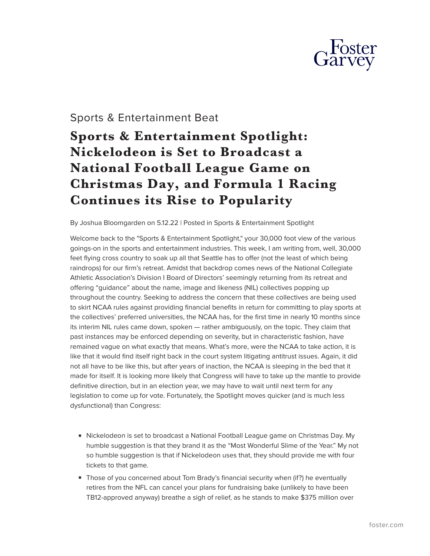

## Sports & Entertainment Beat

# **Sports & Entertainment Spotlight: Nickelodeon is Set to Broadcast a National Football League Game on Christmas Day, and Formula 1 Racing Continues its Rise to Popularity**

By Joshua Bloomgarden on 5.12.22 | Posted in Sports & Entertainment Spotlight

Welcome back to the "Sports & Entertainment Spotlight," your 30,000 foot view of the various goings-on in the sports and entertainment industries. This week, I am writing from, well, 30,000 feet flying cross country to soak up all that Seattle has to offer (not the least of which being raindrops) for our firm's retreat. Amidst that backdrop comes news of the National Collegiate Athletic Association's Division I Board of Directors' seemingly returning from its retreat and offering "guidance" about the name, image and likeness (NIL) collectives popping up throughout the country. Seeking to address the concern that these collectives are being used to skirt NCAA rules against providing financial benefits in return for committing to play sports at the collectives' preferred universities, the NCAA has, for the first time in nearly 10 months since its interim NIL rules came down, spoken — rather ambiguously, on the topic. They claim that past instances may be enforced depending on severity, but in characteristic fashion, have remained vague on what exactly that means. What's more, were the NCAA to take action, it is like that it would find itself right back in the court system litigating antitrust issues. Again, it did not all have to be like this, but after years of inaction, the NCAA is sleeping in the bed that it made for itself. It is looking more likely that Congress will have to take up the mantle to provide definitive direction, but in an election year, we may have to wait until next term for any legislation to come up for vote. Fortunately, the Spotlight moves quicker (and is much less dysfunctional) than Congress:

- Nickelodeon is set to broadcast a National Football League game on Christmas Day. My humble suggestion is that they brand it as the "Most Wonderful Slime of the Year." My not so humble suggestion is that if Nickelodeon uses that, they should provide me with four tickets to that game.
- Those of you concerned about Tom Brady's financial security when (if?) he eventually retires from the NFL can cancel your plans for fundraising bake (unlikely to have been TB12-approved anyway) breathe a sigh of relief, as he stands to make \$375 million over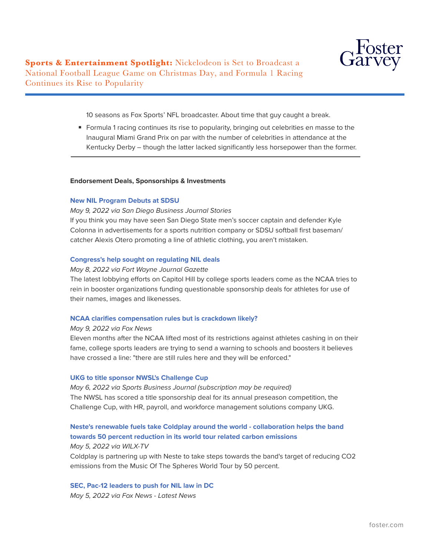

**Sports & Entertainment Spotlight:** Nickelodeon is Set to Broadcast a National Football League Game on Christmas Day, and Formula 1 Racing Continues its Rise to Popularity

10 seasons as Fox Sports' NFL broadcaster. About time that guy caught a break.

■ Formula 1 racing continues its rise to popularity, bringing out celebrities en masse to the Inaugural Miami Grand Prix on par with the number of celebrities in attendance at the Kentucky Derby – though the latter lacked significantly less horsepower than the former.

#### **Endorsement Deals, Sponsorships & Investments**

#### **[New NIL Program Debuts at SDSU](https://client.manzama.com/article/v/26091769995/219977/?usrc=publish&send_id=@@mz_send_id@@&mz_email=@@mz_email_encode@@&mz_rendered_id=451067&mz_feed_id=12501)**

 $\overline{a}$ 

#### *May 9, 2022 via San Diego Business Journal Stories*

If you think you may have seen San Diego State men's soccer captain and defender Kyle Colonna in advertisements for a sports nutrition company or SDSU softball first baseman/ catcher Alexis Otero promoting a line of athletic clothing, you aren't mistaken.

#### **[Congress's help sought on regulating NIL deals](https://client.manzama.com/article/v/26091360980/219977/?usrc=publish&send_id=@@mz_send_id@@&mz_email=@@mz_email_encode@@&mz_rendered_id=451067&mz_feed_id=23720)**

#### *May 8, 2022 via Fort Wayne Journal Gazette*

The latest lobbying efforts on Capitol Hill by college sports leaders come as the NCAA tries to rein in booster organizations funding questionable sponsorship deals for athletes for use of their names, images and likenesses.

#### **[NCAA clarifies compensation rules but is crackdown likely?](https://client.manzama.com/article/v/26092221863/219977/?usrc=publish&send_id=@@mz_send_id@@&mz_email=@@mz_email_encode@@&mz_rendered_id=451067&mz_feed_id=5924)**

#### *May 9, 2022 via Fox News*

Eleven months after the NCAA lifted most of its restrictions against athletes cashing in on their fame, college sports leaders are trying to send a warning to schools and boosters it believes have crossed a line: "there are still rules here and they will be enforced."

#### **[UKG to title sponsor NWSL's Challenge Cup](https://client.manzama.com/article/v/26090522861/219977/?usrc=publish&send_id=@@mz_send_id@@&mz_email=@@mz_email_encode@@&mz_rendered_id=451067&mz_feed_id=137139)**

*May 6, 2022 via Sports Business Journal (subscription may be required)* The NWSL has scored a title sponsorship deal for its annual preseason competition, the Challenge Cup, with HR, payroll, and workforce management solutions company UKG.

## **[Neste's renewable fuels take Coldplay around the world - collaboration helps the band](https://client.manzama.com/article/v/26089919026/219977/?usrc=publish&send_id=@@mz_send_id@@&mz_email=@@mz_email_encode@@&mz_rendered_id=451067&mz_feed_id=130402) [towards 50 percent reduction in its world tour related carbon emissions](https://client.manzama.com/article/v/26089919026/219977/?usrc=publish&send_id=@@mz_send_id@@&mz_email=@@mz_email_encode@@&mz_rendered_id=451067&mz_feed_id=130402)**

#### *May 5, 2022 via WILX-TV*

Coldplay is partnering up with Neste to take steps towards the band's target of reducing CO2 emissions from the Music Of The Spheres World Tour by 50 percent.

**[SEC, Pac-12 leaders to push for NIL law in DC](https://client.manzama.com/article/v/26089883481/219977/?usrc=publish&send_id=@@mz_send_id@@&mz_email=@@mz_email_encode@@&mz_rendered_id=451067&mz_feed_id=5924)** *May 5, 2022 via Fox News - Latest News*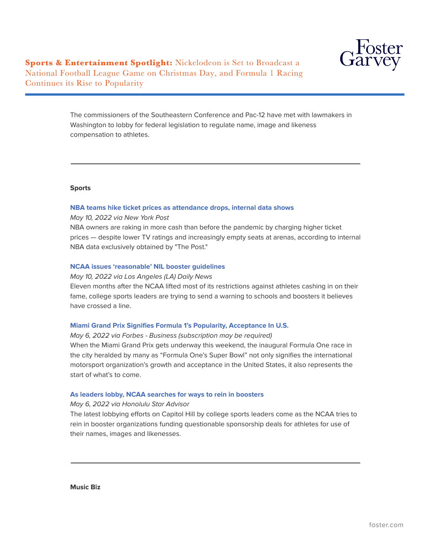

**Sports & Entertainment Spotlight:** Nickelodeon is Set to Broadcast a National Football League Game on Christmas Day, and Formula 1 Racing Continues its Rise to Popularity

> The commissioners of the Southeastern Conference and Pac-12 have met with lawmakers in Washington to lobby for federal legislation to regulate name, image and likeness compensation to athletes.

#### **Sports**

 $\overline{a}$ 

#### **[NBA teams hike ticket prices as attendance drops, internal data shows](https://client.manzama.com/article/v/26092811826/219977/?usrc=publish&send_id=@@mz_send_id@@&mz_email=@@mz_email_encode@@&mz_rendered_id=451067&mz_feed_id=12655)**

*May 10, 2022 via New York Post*

NBA owners are raking in more cash than before the pandemic by charging higher ticket prices — despite lower TV ratings and increasingly empty seats at arenas, according to internal NBA data exclusively obtained by "The Post."

#### **[NCAA issues 'reasonable' NIL booster guidelines](https://client.manzama.com/article/v/26092264519/219977/?usrc=publish&send_id=@@mz_send_id@@&mz_email=@@mz_email_encode@@&mz_rendered_id=451067&mz_feed_id=79473)**

*May 10, 2022 via Los Angeles (LA) Daily News*

Eleven months after the NCAA lifted most of its restrictions against athletes cashing in on their fame, college sports leaders are trying to send a warning to schools and boosters it believes have crossed a line.

#### **[Miami Grand Prix Signifies Formula 1's Popularity, Acceptance In U.S.](https://client.manzama.com/article/v/26090549810/219977/?usrc=publish&send_id=@@mz_send_id@@&mz_email=@@mz_email_encode@@&mz_rendered_id=451067&mz_feed_id=24639)**

*May 6, 2022 via Forbes - Business (subscription may be required)* When the Miami Grand Prix gets underway this weekend, the inaugural Formula One race in the city heralded by many as "Formula One's Super Bowl" not only signifies the international motorsport organization's growth and acceptance in the United States, it also represents the start of what's to come.

#### **[As leaders lobby, NCAA searches for ways to rein in boosters](https://client.manzama.com/article/v/26090385549/219977/?usrc=publish&send_id=@@mz_send_id@@&mz_email=@@mz_email_encode@@&mz_rendered_id=451067&mz_feed_id=9082)**

*May 6, 2022 via Honolulu Star Advisor*

The latest lobbying efforts on Capitol Hill by college sports leaders come as the NCAA tries to rein in booster organizations funding questionable sponsorship deals for athletes for use of their names, images and likenesses.

**Music Biz**

 $\overline{a}$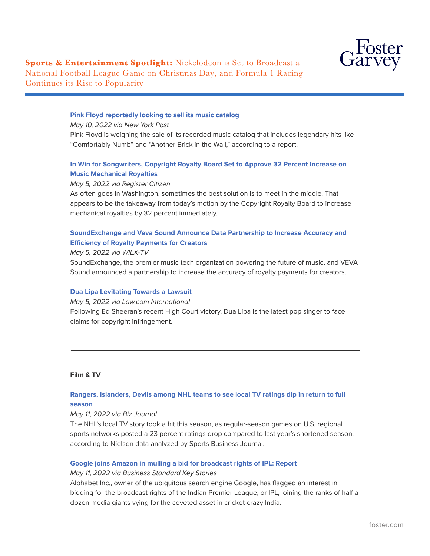

#### **[Pink Floyd reportedly looking to sell its music catalog](https://client.manzama.com/article/v/26092507990/219977/?usrc=publish&send_id=@@mz_send_id@@&mz_email=@@mz_email_encode@@&mz_rendered_id=451067&mz_feed_id=127761)**

*May 10, 2022 via New York Post* Pink Floyd is weighing the sale of its recorded music catalog that includes legendary hits like "Comfortably Numb" and "Another Brick in the Wall," according to a report.

## **[In Win for Songwriters, Copyright Royalty Board Set to Approve 32 Percent Increase on](https://client.manzama.com/article/v/26090226289/219977/?usrc=publish&send_id=@@mz_send_id@@&mz_email=@@mz_email_encode@@&mz_rendered_id=451067&mz_feed_id=127523) [Music Mechanical Royalties](https://client.manzama.com/article/v/26090226289/219977/?usrc=publish&send_id=@@mz_send_id@@&mz_email=@@mz_email_encode@@&mz_rendered_id=451067&mz_feed_id=127523)**

#### *May 5, 2022 via Register Citizen*

As often goes in Washington, sometimes the best solution is to meet in the middle. That appears to be the takeaway from today's motion by the Copyright Royalty Board to increase mechanical royalties by 32 percent immediately.

## **[SoundExchange and Veva Sound Announce Data Partnership to Increase Accuracy and](https://client.manzama.com/article/v/26089930803/219977/?usrc=publish&send_id=@@mz_send_id@@&mz_email=@@mz_email_encode@@&mz_rendered_id=451067&mz_feed_id=130402) [Efficiency of Royalty Payments for Creators](https://client.manzama.com/article/v/26089930803/219977/?usrc=publish&send_id=@@mz_send_id@@&mz_email=@@mz_email_encode@@&mz_rendered_id=451067&mz_feed_id=130402)**

#### *May 5, 2022 via WILX-TV*

SoundExchange, the premier music tech organization powering the future of music, and VEVA Sound announced a partnership to increase the accuracy of royalty payments for creators.

#### **[Dua Lipa Levitating Towards a Lawsuit](https://news.google.com/articles/CBMiW2h0dHBzOi8vd3d3Lmxhdy5jb20vaW50ZXJuYXRpb25hbC1lZGl0aW9uLzIwMjIvMDUvMDUvZHVhLWxpcGEtbGV2aXRhdGluZy10b3dhcmRzLWEtbGF3c3VpdC_SAQA?hl=en-US&gl=US&ceid=US%3Aen)**

*May 5, 2022 via Law.com International*

Following Ed Sheeran's recent High Court victory, Dua Lipa is the latest pop singer to face claims for copyright infringement.

#### **Film & TV**

 $\overline{a}$ 

## **[Rangers, Islanders, Devils among NHL teams to see local TV ratings dip in return to full](https://client.manzama.com/article/v/26093106490/219977/?usrc=publish&send_id=@@mz_send_id@@&mz_email=@@mz_email_encode@@&mz_rendered_id=451067&mz_feed_id=8656) [season](https://client.manzama.com/article/v/26093106490/219977/?usrc=publish&send_id=@@mz_send_id@@&mz_email=@@mz_email_encode@@&mz_rendered_id=451067&mz_feed_id=8656)**

#### *May 11, 2022 via Biz Journal*

The NHL's local TV story took a hit this season, as regular-season games on U.S. regional sports networks posted a 23 percent ratings drop compared to last year's shortened season, according to Nielsen data analyzed by Sports Business Journal.

#### **[Google joins Amazon in mulling a bid for broadcast rights of IPL: Report](https://client.manzama.com/article/v/26093084291/219977/?usrc=publish&send_id=@@mz_send_id@@&mz_email=@@mz_email_encode@@&mz_rendered_id=451067&mz_feed_id=13611)**

#### *May 11, 2022 via Business Standard Key Stories*

Alphabet Inc., owner of the ubiquitous search engine Google, has flagged an interest in bidding for the broadcast rights of the Indian Premier League, or IPL, joining the ranks of half a dozen media giants vying for the coveted asset in cricket-crazy India.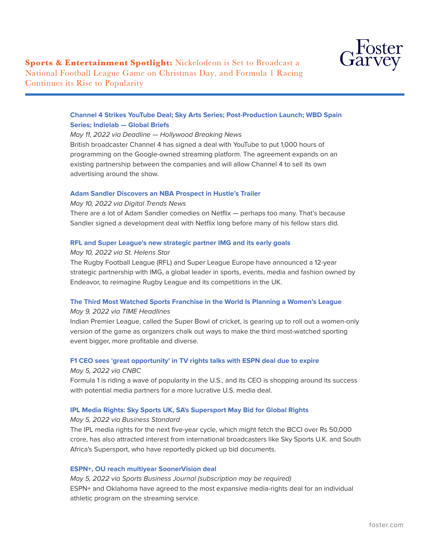

## **[Channel 4 Strikes YouTube Deal; Sky Arts Series; Post-Production Launch; WBD Spain](https://client.manzama.com/article/v/26092999951/219977/?usrc=publish&send_id=@@mz_send_id@@&mz_email=@@mz_email_encode@@&mz_rendered_id=451067&mz_feed_id=54267) [Series; Indielab — Global Briefs](https://client.manzama.com/article/v/26092999951/219977/?usrc=publish&send_id=@@mz_send_id@@&mz_email=@@mz_email_encode@@&mz_rendered_id=451067&mz_feed_id=54267)**

#### *May 11, 2022 via Deadline — Hollywood Breaking News*

British broadcaster Channel 4 has signed a deal with YouTube to put 1,000 hours of programming on the Google-owned streaming platform. The agreement expands on an existing partnership between the companies and will allow Channel 4 to sell its own advertising around the show.

#### **[Adam Sandler Discovers an NBA Prospect in Hustle's Trailer](https://client.manzama.com/article/v/26092843350/219977/?usrc=publish&send_id=@@mz_send_id@@&mz_email=@@mz_email_encode@@&mz_rendered_id=451067&mz_feed_id=12869)**

#### *May 10, 2022 via Digital Trends News*

There are a lot of Adam Sandler comedies on Netflix — perhaps too many. That's because Sandler signed a development deal with Netflix long before many of his fellow stars did.

#### **[RFL and Super League's new strategic partner IMG and its early goals](https://client.manzama.com/article/v/26092475031/219977/?usrc=publish&send_id=@@mz_send_id@@&mz_email=@@mz_email_encode@@&mz_rendered_id=451067&mz_feed_id=34651)**

*May 10, 2022 via St. Helens Star* The Rugby Football League (RFL) and Super League Europe have announced a 12-year strategic partnership with IMG, a global leader in sports, events, media and fashion owned by Endeavor, to reimagine Rugby League and its competitions in the UK.

#### **[The Third Most Watched Sports Franchise in the World Is Planning a Women's League](https://client.manzama.com/article/v/26091708307/219977/?usrc=publish&send_id=@@mz_send_id@@&mz_email=@@mz_email_encode@@&mz_rendered_id=451067&mz_feed_id=6213)**

#### *May 9, 2022 via TIME Headlines*

Indian Premier League, called the Super Bowl of cricket, is gearing up to roll out a women-only version of the game as organizers chalk out ways to make the third most-watched sporting event bigger, more profitable and diverse.

## **[F1 CEO sees 'great opportunity' in TV rights talks with ESPN deal due to expire](https://client.manzama.com/article/v/26090267649/219977/?usrc=publish&send_id=@@mz_send_id@@&mz_email=@@mz_email_encode@@&mz_rendered_id=451067&mz_feed_id=68883)**

#### *May 5, 2022 via CNBC*

Formula 1 is riding a wave of popularity in the U.S., and its CEO is shopping around its success with potential media partners for a more lucrative U.S. media deal.

#### **[IPL Media Rights: Sky Sports UK, SA's Supersport May Bid for Global Rights](https://client.manzama.com/article/v/26089979289/219977/?usrc=publish&send_id=@@mz_send_id@@&mz_email=@@mz_email_encode@@&mz_rendered_id=451067&mz_feed_id=77073)**

#### *May 5, 2022 via Business Standard*

The IPL media rights for the next five-year cycle, which might fetch the BCCI over Rs 50,000 crore, has also attracted interest from international broadcasters like Sky Sports U.K. and South Africa's Supersport, who have reportedly picked up bid documents.

#### **[ESPN+, OU reach multiyear SoonerVision deal](https://client.manzama.com/article/v/26089895959/219977/?usrc=publish&send_id=@@mz_send_id@@&mz_email=@@mz_email_encode@@&mz_rendered_id=451067&mz_feed_id=137139)**

*May 5, 2022 via Sports Business Journal (subscription may be required)* ESPN+ and Oklahoma have agreed to the most expansive media-rights deal for an individual athletic program on the streaming service.